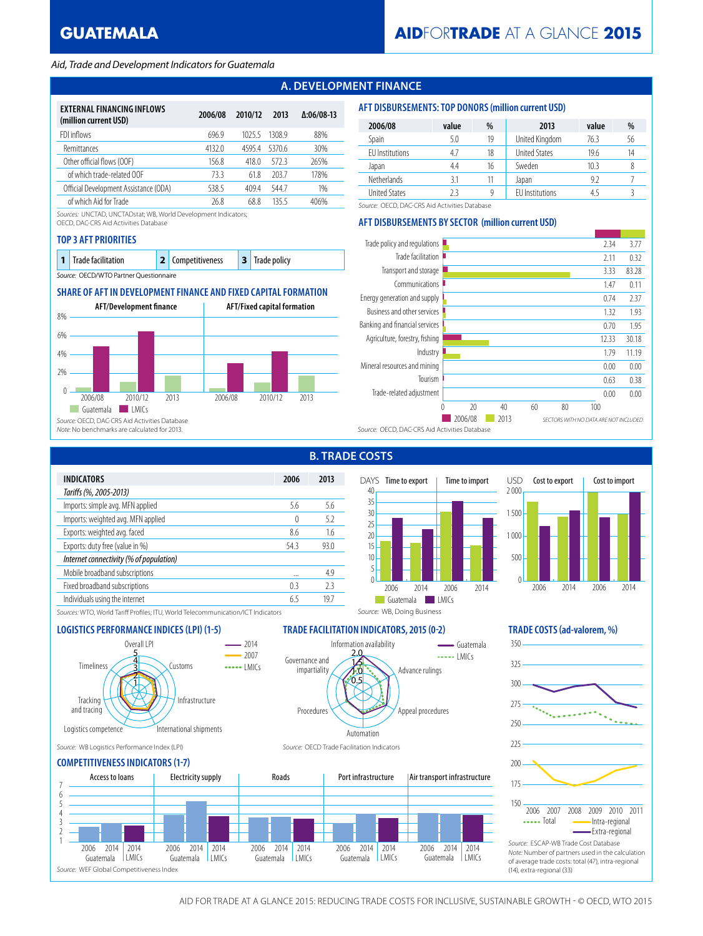## *Aid, Trade and Development Indicators for Guatemala*

# **A. DEVELOPMENT FINANCE**

| EXTERNAL FINANCING INFLOWS            |         |         |        |                   |
|---------------------------------------|---------|---------|--------|-------------------|
| (million current USD)                 | 2006/08 | 2010/12 | 2013   | $\Delta:06/08-13$ |
| FDI inflows                           | 696.9   | 1025.5  | 13089  | 88%               |
| Remittances                           | 4132.0  | 45954   | 5370.6 | 30%               |
| Other official flows (OOF)            | 156.8   | 418.0   | 5723   | 265%              |
| of which trade-related OOF            | 73.3    | 61.8    | 203.7  | 178%              |
| Official Development Assistance (ODA) | 538.5   | 4094    | 5447   | 1%                |
| of which Aid for Trade                | 26.8    | 68.8    | 1355   | 406%              |

*Sources:* UNCTAD, UNCTADstat; WB, World Development Indicators;

OECD, DAC-CRS Aid Activities Database

## **TOP 3 AFT PRIORITIES**

|  | <b>1</b> Trade facilitation            | 2 Competitiveness | 3 Trade policy |
|--|----------------------------------------|-------------------|----------------|
|  | Source: OECD/WTO Partner Questionnaire |                   |                |

## **SHARE OF AFT IN DEVELOPMENT FINANCE AND FIXED CAPITAL FORMATION**



| 2006/08              | value | %  | 2013                   | value | %  |
|----------------------|-------|----|------------------------|-------|----|
| Spain                | 5.0   | 19 | United Kingdom         | 76.3  | 56 |
| EU Institutions      | 4.7   | 18 | <b>United States</b>   | 19.6  | 14 |
| Japan                | 4.4   | 16 | Sweden                 | 10.3  |    |
| <b>Netherlands</b>   | 3.1   | 11 | Japan                  | 9.2   |    |
| <b>United States</b> |       |    | <b>EU</b> Institutions |       |    |

*Source:* OECD, DAC-CRS Aid Activities Database

## **AFT DISBURSEMENTS BY SECTOR (million current USD)**

**AFT DISBURSEMENTS: TOP DONORS (million current USD)**



**B. TRADE COSTS**

Information availability

 $6.5$ 1.0 1.5 2.0

Automation







*Sources:* WTO, World Tariff Profiles; ITU, World Telecommunication/ICT Indicators

## **LOGISTICS PERFORMANCE INDICES (LPI) (1-5) TRADE FACILITATION INDICATORS, 2015 (0-2) TRADE COSTS (ad-valorem, %)**



#### *Source:* WB Logistics Performance Index (LPI) *Source:* OECD Trade Facilitation Indicators

## **COMPETITIVENESS INDICATORS (1-7)**



Procedures

Governance and impartiality

 $\frac{1}{2}$  LMICs Guatemala

Advance rulings

*Source:* WB, Doing Business

Appeal procedures

# 325 275 225 175 150 200 250 300 350 2006 2007 2008 2009 2010 2011 -Intra-regional Extra-regional *Source:* ESCAP-WB Trade Cost Database *Note:* Number of partners used in the calculation of average trade costs: total (47), intra-regional